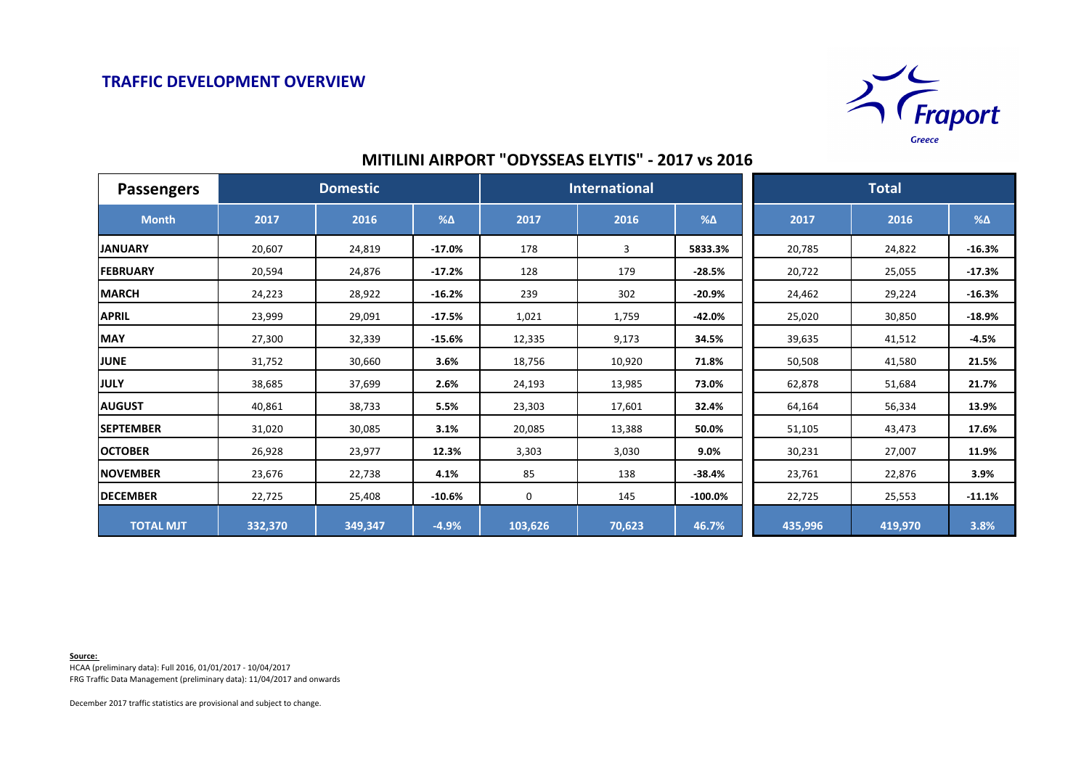

## **MITILINI AIRPORT "ODYSSEAS ELYTIS" - 2017 vs 2016**

| <b>Passengers</b> | <b>Domestic</b> |         |            | <b>International</b> |        |               | <b>Total</b> |         |            |
|-------------------|-----------------|---------|------------|----------------------|--------|---------------|--------------|---------|------------|
| <b>Month</b>      | 2017            | 2016    | $% \Delta$ | 2017                 | 2016   | $% \triangle$ | 2017         | 2016    | $% \Delta$ |
| <b>JANUARY</b>    | 20,607          | 24,819  | $-17.0%$   | 178                  | 3      | 5833.3%       | 20,785       | 24,822  | $-16.3%$   |
| <b>FEBRUARY</b>   | 20,594          | 24,876  | $-17.2%$   | 128                  | 179    | $-28.5%$      | 20,722       | 25,055  | $-17.3%$   |
| <b>MARCH</b>      | 24,223          | 28,922  | $-16.2%$   | 239                  | 302    | $-20.9%$      | 24,462       | 29,224  | $-16.3%$   |
| <b>APRIL</b>      | 23,999          | 29,091  | $-17.5%$   | 1,021                | 1,759  | $-42.0%$      | 25,020       | 30,850  | $-18.9%$   |
| <b>MAY</b>        | 27,300          | 32,339  | $-15.6%$   | 12,335               | 9,173  | 34.5%         | 39,635       | 41,512  | $-4.5%$    |
| <b>JUNE</b>       | 31,752          | 30,660  | 3.6%       | 18,756               | 10,920 | 71.8%         | 50,508       | 41,580  | 21.5%      |
| <b>JULY</b>       | 38,685          | 37,699  | 2.6%       | 24,193               | 13,985 | 73.0%         | 62,878       | 51,684  | 21.7%      |
| <b>AUGUST</b>     | 40,861          | 38,733  | 5.5%       | 23,303               | 17,601 | 32.4%         | 64,164       | 56,334  | 13.9%      |
| <b>SEPTEMBER</b>  | 31,020          | 30,085  | 3.1%       | 20,085               | 13,388 | 50.0%         | 51,105       | 43,473  | 17.6%      |
| <b>OCTOBER</b>    | 26,928          | 23,977  | 12.3%      | 3,303                | 3,030  | 9.0%          | 30,231       | 27,007  | 11.9%      |
| <b>NOVEMBER</b>   | 23,676          | 22,738  | 4.1%       | 85                   | 138    | $-38.4%$      | 23,761       | 22,876  | 3.9%       |
| <b>DECEMBER</b>   | 22,725          | 25,408  | $-10.6%$   | 0                    | 145    | $-100.0\%$    | 22,725       | 25,553  | $-11.1%$   |
| <b>TOTAL MJT</b>  | 332,370         | 349,347 | $-4.9%$    | 103,626              | 70,623 | 46.7%         | 435,996      | 419,970 | 3.8%       |

**Source:** 

HCAA (preliminary data): Full 2016, 01/01/2017 - 10/04/2017 FRG Traffic Data Management (preliminary data): 11/04/2017 and onwards

December 2017 traffic statistics are provisional and subject to change.